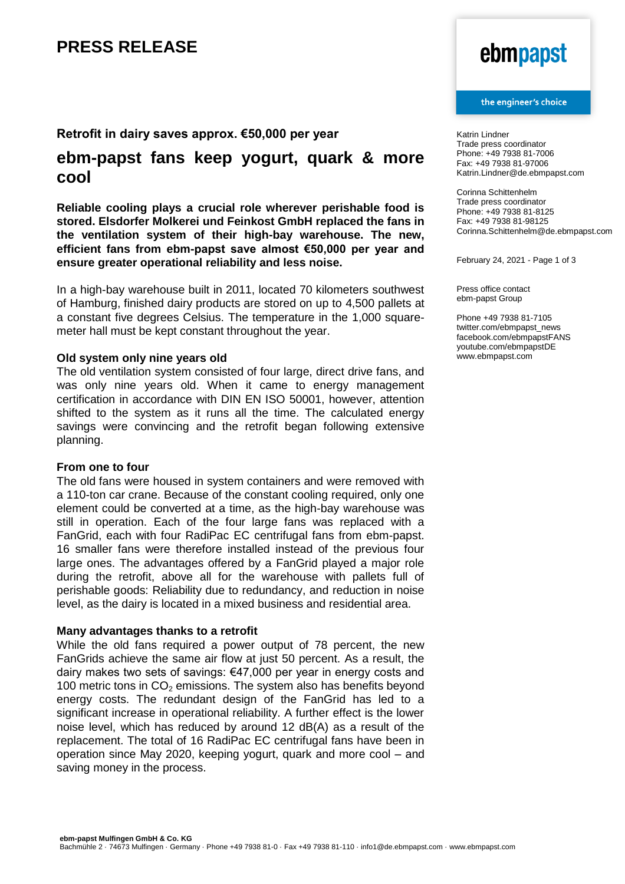## **PRESS RELEASE**

### **Retrofit in dairy saves approx. €50,000 per year**

### **ebm-papst fans keep yogurt, quark & more cool**

**Reliable cooling plays a crucial role wherever perishable food is stored. Elsdorfer Molkerei und Feinkost GmbH replaced the fans in the ventilation system of their high-bay warehouse. The new, efficient fans from ebm-papst save almost €50,000 per year and ensure greater operational reliability and less noise.**

In a high-bay warehouse built in 2011, located 70 kilometers southwest of Hamburg, finished dairy products are stored on up to 4,500 pallets at a constant five degrees Celsius. The temperature in the 1,000 squaremeter hall must be kept constant throughout the year.

#### **Old system only nine years old**

The old ventilation system consisted of four large, direct drive fans, and was only nine years old. When it came to energy management certification in accordance with DIN EN ISO 50001, however, attention shifted to the system as it runs all the time. The calculated energy savings were convincing and the retrofit began following extensive planning.

### **From one to four**

The old fans were housed in system containers and were removed with a 110-ton car crane. Because of the constant cooling required, only one element could be converted at a time, as the high-bay warehouse was still in operation. Each of the four large fans was replaced with a FanGrid, each with four RadiPac EC centrifugal fans from ebm-papst. 16 smaller fans were therefore installed instead of the previous four large ones. The advantages offered by a FanGrid played a major role during the retrofit, above all for the warehouse with pallets full of perishable goods: Reliability due to redundancy, and reduction in noise level, as the dairy is located in a mixed business and residential area.

#### **Many advantages thanks to a retrofit**

While the old fans required a power output of 78 percent, the new FanGrids achieve the same air flow at just 50 percent. As a result, the dairy makes two sets of savings: €47,000 per year in energy costs and 100 metric tons in  $CO<sub>2</sub>$  emissions. The system also has benefits beyond energy costs. The redundant design of the FanGrid has led to a significant increase in operational reliability. A further effect is the lower noise level, which has reduced by around 12 dB(A) as a result of the replacement. The total of 16 RadiPac EC centrifugal fans have been in operation since May 2020, keeping yogurt, quark and more cool – and saving money in the process.

# ebmpapst

#### the engineer's choice

Katrin Lindner Trade press coordinator Phone: +49 7938 81-7006 Fax: +49 7938 81-97006 Katrin.Lindner@de.ebmpapst.com

Corinna Schittenhelm Trade press coordinator Phone: +49 7938 81-8125 Fax: +49 7938 81-98125 Corinna.Schittenhelm@de.ebmpapst.com

February 24, 2021 - Page 1 of 3

Press office contact ebm-papst Group

Phone +49 7938 81-7105 twitter.com/ebmpapst\_news facebook.com/ebmpapstFANS youtube.com/ebmpapstDE www.ebmpapst.com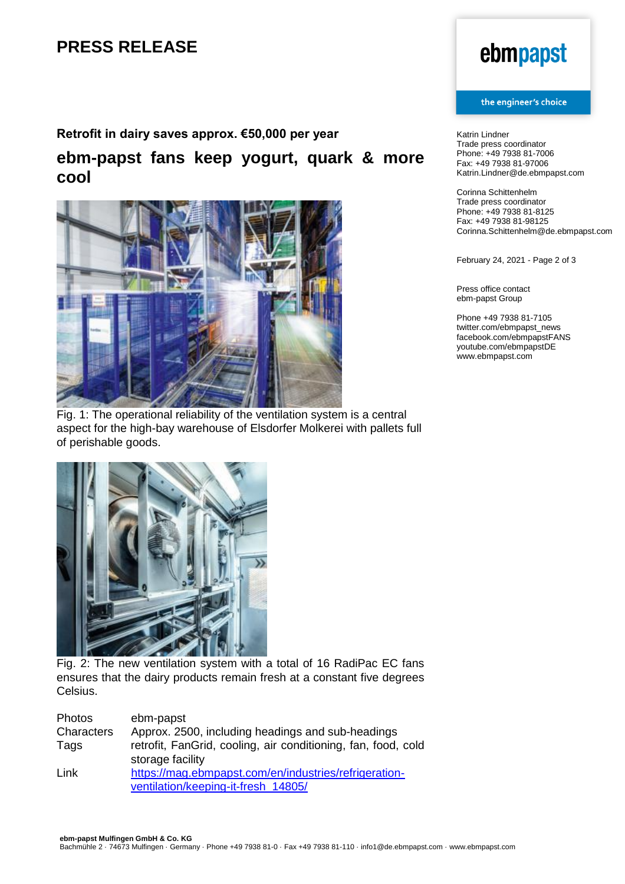# **PRESS RELEASE**

### **Retrofit in dairy saves approx. €50,000 per year**

## **ebm-papst fans keep yogurt, quark & more cool**



Fig. 1: The operational reliability of the ventilation system is a central aspect for the high-bay warehouse of Elsdorfer Molkerei with pallets full of perishable goods.



Fig. 2: The new ventilation system with a total of 16 RadiPac EC fans ensures that the dairy products remain fresh at a constant five degrees Celsius.

| <b>Photos</b> | ebm-papst                                                     |
|---------------|---------------------------------------------------------------|
| Characters    | Approx. 2500, including headings and sub-headings             |
| Tags          | retrofit, FanGrid, cooling, air conditioning, fan, food, cold |
|               | storage facility                                              |
| Link          | https://mag.ebmpapst.com/en/industries/refrigeration-         |
|               | ventilation/keeping-it-fresh 14805/                           |

# ebmpapst

#### the engineer's choice

Katrin Lindner Trade press coordinator Phone: +49 7938 81-7006 Fax: +49 7938 81-97006 Katrin.Lindner@de.ebmpapst.com

Corinna Schittenhelm Trade press coordinator Phone: +49 7938 81-8125 Fax: +49 7938 81-98125 Corinna.Schittenhelm@de.ebmpapst.com

February 24, 2021 - Page 2 of 3

Press office contact ebm-papst Group

Phone +49 7938 81-7105 twitter.com/ebmpapst\_news facebook.com/ebmpapstFANS youtube.com/ebmpapstDE www.ebmpapst.com